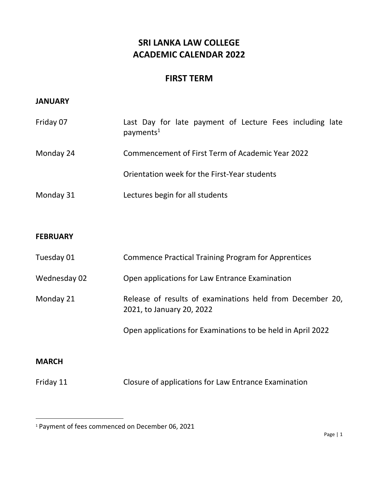# **SRI LANKA LAW COLLEGE ACADEMIC CALENDAR 2022**

## **FIRST TERM**

#### **JANUARY**

| Friday 07 | Last Day for late payment of Lecture Fees including late<br>payments <sup>1</sup> |
|-----------|-----------------------------------------------------------------------------------|
| Monday 24 | Commencement of First Term of Academic Year 2022                                  |
|           | Orientation week for the First-Year students                                      |
| Monday 31 | Lectures begin for all students                                                   |

#### **FEBRUARY**

| Tuesday 01   | <b>Commence Practical Training Program for Apprentices</b>                             |
|--------------|----------------------------------------------------------------------------------------|
| Wednesday 02 | Open applications for Law Entrance Examination                                         |
| Monday 21    | Release of results of examinations held from December 20,<br>2021, to January 20, 2022 |
|              | Open applications for Examinations to be held in April 2022                            |
|              |                                                                                        |

### **MARCH**

 $\overline{\phantom{a}}$ 

Friday 11 Closure of applications for Law Entrance Examination

<sup>1</sup> Payment of fees commenced on December 06, 2021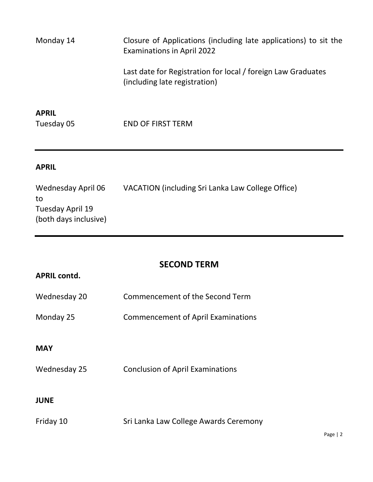Monday 14 Closure of Applications (including late applications) to sit the Examinations in April 2022 Last date for Registration for local / foreign Law Graduates (including late registration)

**APRIL**

Tuesday 05 END OF FIRST TERM

### **APRIL**

Wednesday April 06 VACATION (including Sri Lanka Law College Office) to Tuesday April 19 (both days inclusive)

# **SECOND TERM**

| <b>APRIL contd.</b> |                                           |
|---------------------|-------------------------------------------|
| Wednesday 20        | Commencement of the Second Term           |
| Monday 25           | <b>Commencement of April Examinations</b> |
|                     |                                           |
| <b>MAY</b>          |                                           |
| Wednesday 25        | <b>Conclusion of April Examinations</b>   |
|                     |                                           |
| <b>JUNE</b>         |                                           |
| Friday 10           | Sri Lanka Law College Awards Ceremony     |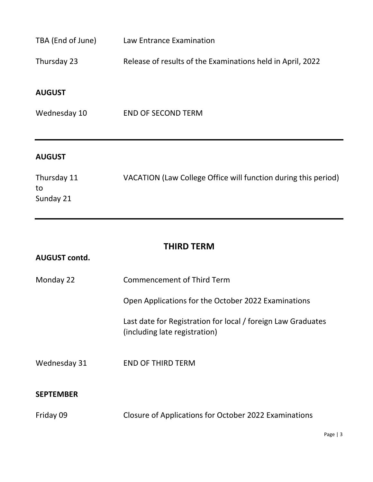| TBA (End of June)              | Law Entrance Examination                                       |
|--------------------------------|----------------------------------------------------------------|
| Thursday 23                    | Release of results of the Examinations held in April, 2022     |
| <b>AUGUST</b>                  |                                                                |
| Wednesday 10                   | <b>END OF SECOND TERM</b>                                      |
| <b>AUGUST</b>                  |                                                                |
| Thursday 11<br>to<br>Sunday 21 | VACATION (Law College Office will function during this period) |

# **THIRD TERM**

| <b>AUGUST contd.</b> |                                                                                               |
|----------------------|-----------------------------------------------------------------------------------------------|
| Monday 22            | Commencement of Third Term                                                                    |
|                      | Open Applications for the October 2022 Examinations                                           |
|                      | Last date for Registration for local / foreign Law Graduates<br>(including late registration) |
| Wednesday 31         | <b>END OF THIRD TERM</b>                                                                      |
| <b>SEPTEMBER</b>     |                                                                                               |
| Friday 09            | Closure of Applications for October 2022 Examinations                                         |